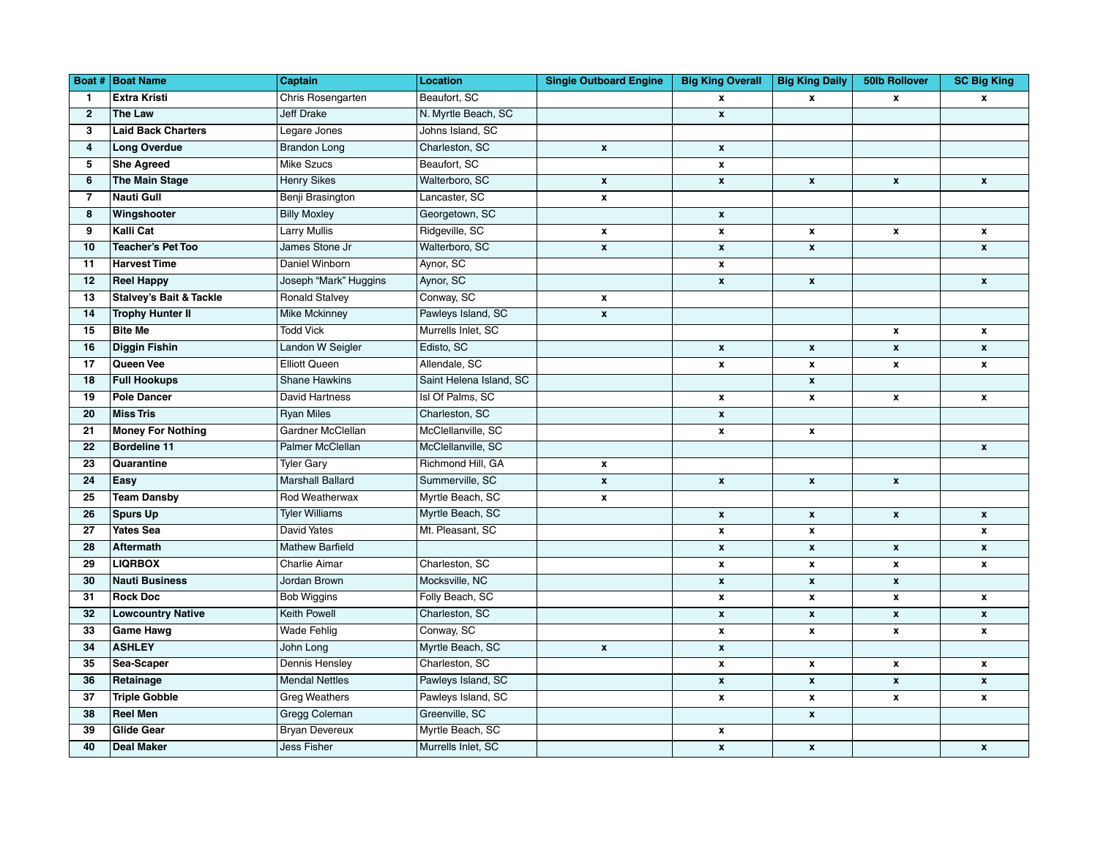|                 | <b>Boat # Boat Name</b>            | Captain                 | Location                | <b>Single Outboard Engine</b> | <b>Big King Overall</b>   | <b>Big King Daily</b> | <b>50lb Rollover</b> | <b>SC Big King</b> |
|-----------------|------------------------------------|-------------------------|-------------------------|-------------------------------|---------------------------|-----------------------|----------------------|--------------------|
| $\mathbf{1}$    | <b>Extra Kristi</b>                | Chris Rosengarten       | Beaufort, SC            |                               | $\mathbf{x}$              | $\mathbf{x}$          | $\mathbf{x}$         | $\mathbf{x}$       |
| $\overline{2}$  | <b>The Law</b>                     | <b>Jeff Drake</b>       | N. Myrtle Beach, SC     |                               | $\mathbf{x}$              |                       |                      |                    |
| 3               | <b>Laid Back Charters</b>          | Legare Jones            | Johns Island, SC        |                               |                           |                       |                      |                    |
| 4               | <b>Long Overdue</b>                | <b>Brandon Long</b>     | Charleston, SC          | $\boldsymbol{\mathsf{x}}$     | $\mathbf x$               |                       |                      |                    |
| 5               | <b>She Agreed</b>                  | Mike Szucs              | Beaufort, SC            |                               | $\pmb{\mathsf{x}}$        |                       |                      |                    |
| $6\phantom{1}6$ | <b>The Main Stage</b>              | <b>Henry Sikes</b>      | Walterboro, SC          | $\pmb{\chi}$                  | $\pmb{\mathsf{x}}$        | $\pmb{\mathsf{x}}$    | $\pmb{\mathsf{x}}$   | $\pmb{\mathsf{x}}$ |
| $\overline{7}$  | Nauti Gull                         | Benji Brasington        | Lancaster, SC           | $\pmb{\mathsf{x}}$            |                           |                       |                      |                    |
| 8               | Wingshooter                        | <b>Billy Moxley</b>     | Georgetown, SC          |                               | $\pmb{\mathsf{x}}$        |                       |                      |                    |
| 9               | Kalli Cat                          | <b>Larry Mullis</b>     | Ridgeville, SC          | $\pmb{\chi}$                  | $\pmb{\mathsf{x}}$        | $\pmb{\mathsf{x}}$    | $\pmb{\mathsf{x}}$   | $\pmb{\mathsf{x}}$ |
| 10              | <b>Teacher's Pet Too</b>           | James Stone Jr          | Walterboro, SC          | $\mathbf{x}$                  | $\pmb{\mathsf{x}}$        | $\pmb{\chi}$          |                      | $\pmb{\mathsf{x}}$ |
| 11              | <b>Harvest Time</b>                | Daniel Winborn          | Aynor, SC               |                               | $\pmb{\mathsf{x}}$        |                       |                      |                    |
| 12              | <b>Reel Happy</b>                  | Joseph "Mark" Huggins   | Aynor, SC               |                               | $\pmb{\mathsf{x}}$        | $\pmb{\mathsf{x}}$    |                      | $\pmb{\mathsf{x}}$ |
| 13              | <b>Stalvey's Bait &amp; Tackle</b> | <b>Ronald Stalvey</b>   | Conway, SC              | $\mathbf{x}$                  |                           |                       |                      |                    |
| 14              | <b>Trophy Hunter II</b>            | <b>Mike Mckinney</b>    | Pawleys Island, SC      | $\pmb{\mathsf{x}}$            |                           |                       |                      |                    |
| 15              | Bite Me                            | <b>Todd Vick</b>        | Murrells Inlet, SC      |                               |                           |                       | $\pmb{\chi}$         | $\pmb{\mathsf{x}}$ |
| 16              | <b>Diggin Fishin</b>               | Landon W Seigler        | Edisto, SC              |                               | $\pmb{\mathsf{x}}$        | $\pmb{\chi}$          | $\pmb{\chi}$         | $\pmb{\mathsf{x}}$ |
| 17              | Queen Vee                          | <b>Elliott Queen</b>    | Allendale, SC           |                               | $\pmb{\mathsf{x}}$        | $\pmb{\mathsf{x}}$    | $\pmb{\mathsf{x}}$   | $\pmb{\mathsf{x}}$ |
| 18              | <b>Full Hookups</b>                | <b>Shane Hawkins</b>    | Saint Helena Island, SC |                               |                           | $\pmb{\mathsf{x}}$    |                      |                    |
| 19              | <b>Pole Dancer</b>                 | David Hartness          | Isl Of Palms, SC        |                               | $\pmb{\mathsf{x}}$        | $\pmb{\chi}$          | $\pmb{\chi}$         | $\pmb{\mathsf{x}}$ |
| 20              | <b>Miss Tris</b>                   | <b>Ryan Miles</b>       | Charleston, SC          |                               | $\pmb{\mathsf{x}}$        |                       |                      |                    |
| 21              | <b>Money For Nothing</b>           | Gardner McClellan       | McClellanville, SC      |                               | $\pmb{\mathsf{x}}$        | $\pmb{\mathsf{x}}$    |                      |                    |
| 22              | <b>Bordeline 11</b>                | Palmer McClellan        | McClellanville, SC      |                               |                           |                       |                      | $\pmb{\mathsf{x}}$ |
| 23              | Quarantine                         | <b>Tyler Gary</b>       | Richmond Hill, GA       | $\pmb{\chi}$                  |                           |                       |                      |                    |
| 24              | Easy                               | <b>Marshall Ballard</b> | Summerville, SC         | $\pmb{\mathsf{x}}$            | $\mathbf{x}$              | $\pmb{\mathsf{x}}$    | $\pmb{\chi}$         |                    |
| 25              | <b>Team Dansby</b>                 | Rod Weatherwax          | Myrtle Beach, SC        | $\pmb{\chi}$                  |                           |                       |                      |                    |
| 26              | <b>Spurs Up</b>                    | <b>Tyler Williams</b>   | Myrtle Beach, SC        |                               | $\pmb{\mathsf{x}}$        | $\pmb{\mathsf{x}}$    | $\pmb{\chi}$         | $\pmb{\mathsf{x}}$ |
| 27              | <b>Yates Sea</b>                   | <b>David Yates</b>      | Mt. Pleasant, SC        |                               | $\pmb{\mathsf{x}}$        | x                     |                      | x                  |
| 28              | <b>Aftermath</b>                   | <b>Mathew Barfield</b>  |                         |                               | $\pmb{\mathsf{x}}$        | $\pmb{\mathsf{x}}$    | $\pmb{\chi}$         | $\pmb{\mathsf{x}}$ |
| 29              | <b>LIQRBOX</b>                     | <b>Charlie Aimar</b>    | Charleston, SC          |                               | $\pmb{\mathsf{x}}$        | $\pmb{\mathsf{x}}$    | $\pmb{\chi}$         | $\pmb{\mathsf{x}}$ |
| 30              | <b>Nauti Business</b>              | Jordan Brown            | Mocksville, NC          |                               | $\pmb{\mathsf{x}}$        | $\mathbf{x}$          | $\pmb{\chi}$         |                    |
| 31              | <b>Rock Doc</b>                    | Bob Wiggins             | Folly Beach, SC         |                               | $\pmb{\mathsf{x}}$        | $\pmb{\mathsf{x}}$    | $\pmb{\chi}$         | $\pmb{\mathsf{x}}$ |
| 32              | <b>Lowcountry Native</b>           | <b>Keith Powell</b>     | Charleston, SC          |                               | $\pmb{\mathsf{x}}$        | $\pmb{\mathsf{x}}$    | $\pmb{\chi}$         | $\pmb{\mathsf{x}}$ |
| 33              | <b>Game Hawg</b>                   | <b>Wade Fehlig</b>      | Conway, SC              |                               | $\pmb{\mathsf{x}}$        | $\pmb{\mathsf{x}}$    | $\pmb{\chi}$         | $\pmb{\mathsf{x}}$ |
| 34              | <b>ASHLEY</b>                      | John Long               | Myrtle Beach, SC        | $\pmb{\mathsf{x}}$            | $\pmb{\mathsf{x}}$        |                       |                      |                    |
| 35              | Sea-Scaper                         | Dennis Hensley          | Charleston, SC          |                               | $\pmb{\mathsf{x}}$        | $\pmb{\mathsf{x}}$    | $\pmb{\chi}$         | $\pmb{\mathsf{x}}$ |
| 36              | Retainage                          | <b>Mendal Nettles</b>   | Pawleys Island, SC      |                               | $\mathbf{x}$              | $\pmb{\chi}$          | $\pmb{\chi}$         | $\pmb{\mathsf{x}}$ |
| 37              | <b>Triple Gobble</b>               | <b>Greg Weathers</b>    | Pawleys Island, SC      |                               | $\boldsymbol{\mathsf{x}}$ | $\pmb{\mathsf{x}}$    | $\pmb{\mathsf{x}}$   | $\pmb{\mathsf{x}}$ |
| 38              | <b>Reel Men</b>                    | <b>Gregg Coleman</b>    | Greenville, SC          |                               |                           | $\pmb{\mathsf{x}}$    |                      |                    |
| 39              | <b>Glide Gear</b>                  | <b>Bryan Devereux</b>   | Myrtle Beach, SC        |                               | $\pmb{\mathsf{x}}$        |                       |                      |                    |
| 40              | <b>Deal Maker</b>                  | Jess Fisher             | Murrells Inlet, SC      |                               | $\pmb{\mathsf{x}}$        | $\pmb{\mathsf{x}}$    |                      | $\pmb{\mathsf{x}}$ |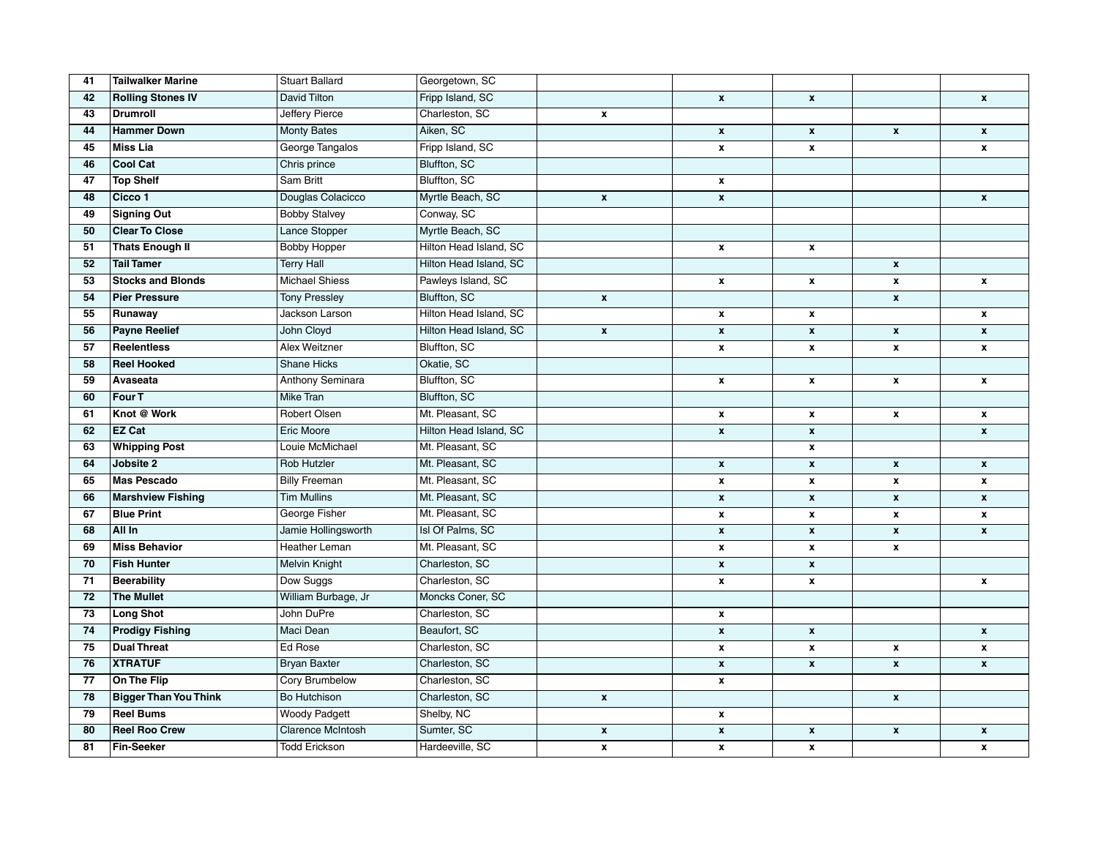| 41 | <b>Tailwalker Marine</b>     | <b>Stuart Ballard</b>    | Georgetown, SC         |                    |                    |                    |                           |                    |
|----|------------------------------|--------------------------|------------------------|--------------------|--------------------|--------------------|---------------------------|--------------------|
| 42 | <b>Rolling Stones IV</b>     | David Tilton             | Fripp Island, SC       |                    | $\pmb{\mathsf{x}}$ | $\pmb{\mathsf{x}}$ |                           | $\pmb{\mathsf{x}}$ |
| 43 | <b>Drumroll</b>              | Jeffery Pierce           | Charleston, SC         | $\pmb{\chi}$       |                    |                    |                           |                    |
| 44 | <b>Hammer Down</b>           | <b>Monty Bates</b>       | Aiken, SC              |                    | $\pmb{\mathsf{x}}$ | $\pmb{\mathsf{x}}$ | $\pmb{\mathsf{x}}$        | $\pmb{\mathsf{x}}$ |
| 45 | <b>Miss Lia</b>              | George Tangalos          | Fripp Island, SC       |                    | $\pmb{\mathsf{x}}$ | $\pmb{\mathsf{x}}$ |                           | $\pmb{\mathsf{x}}$ |
| 46 | <b>Cool Cat</b>              | Chris prince             | Bluffton, SC           |                    |                    |                    |                           |                    |
| 47 | <b>Top Shelf</b>             | <b>Sam Britt</b>         | Bluffton, SC           |                    | $\pmb{\mathsf{x}}$ |                    |                           |                    |
| 48 | Cicco 1                      | Douglas Colacicco        | Myrtle Beach, SC       | $\pmb{\mathsf{x}}$ | $\pmb{\chi}$       |                    |                           | $\pmb{\mathsf{x}}$ |
| 49 | <b>Signing Out</b>           | <b>Bobby Stalvey</b>     | Conway, SC             |                    |                    |                    |                           |                    |
| 50 | <b>Clear To Close</b>        | Lance Stopper            | Myrtle Beach, SC       |                    |                    |                    |                           |                    |
| 51 | <b>Thats Enough II</b>       | <b>Bobby Hopper</b>      | Hilton Head Island, SC |                    | $\pmb{\mathsf{x}}$ | $\pmb{\mathsf{x}}$ |                           |                    |
| 52 | <b>Tail Tamer</b>            | <b>Terry Hall</b>        | Hilton Head Island, SC |                    |                    |                    | $\pmb{\chi}$              |                    |
| 53 | <b>Stocks and Blonds</b>     | <b>Michael Shiess</b>    | Pawleys Island, SC     |                    | $\pmb{\mathsf{x}}$ | $\pmb{\mathsf{x}}$ | $\pmb{\chi}$              | $\pmb{\mathsf{x}}$ |
| 54 | <b>Pier Pressure</b>         | <b>Tony Pressley</b>     | Bluffton, SC           | $\pmb{\chi}$       |                    |                    | $\pmb{\chi}$              |                    |
| 55 | Runaway                      | Jackson Larson           | Hilton Head Island, SC |                    | $\pmb{\mathsf{x}}$ | $\pmb{\mathsf{x}}$ |                           | $\pmb{\mathsf{x}}$ |
| 56 | <b>Payne Reelief</b>         | John Cloyd               | Hilton Head Island, SC | $\pmb{\chi}$       | $\pmb{\mathsf{x}}$ | $\pmb{\mathsf{x}}$ | $\pmb{\chi}$              | $\pmb{\mathsf{x}}$ |
| 57 | <b>Reelentless</b>           | <b>Alex Weitzner</b>     | Bluffton, SC           |                    | $\pmb{\mathsf{x}}$ | $\pmb{\mathsf{x}}$ | $\pmb{\chi}$              | $\pmb{\mathsf{x}}$ |
| 58 | <b>Reel Hooked</b>           | <b>Shane Hicks</b>       | Okatie, SC             |                    |                    |                    |                           |                    |
| 59 | Avaseata                     | Anthony Seminara         | Bluffton, SC           |                    | $\pmb{\mathsf{x}}$ | $\pmb{\mathsf{x}}$ | $\pmb{\mathsf{x}}$        | $\pmb{\mathsf{x}}$ |
| 60 | Four <sub>T</sub>            | Mike Tran                | Bluffton, SC           |                    |                    |                    |                           |                    |
| 61 | Knot @ Work                  | Robert Olsen             | Mt. Pleasant, SC       |                    | $\pmb{\mathsf{x}}$ | $\pmb{\mathsf{x}}$ | $\pmb{\mathsf{x}}$        | $\pmb{\mathsf{x}}$ |
| 62 | <b>EZ Cat</b>                | Eric Moore               | Hilton Head Island, SC |                    | $\pmb{\mathsf{x}}$ | $\boldsymbol{x}$   |                           | $\mathbf{x}$       |
| 63 | <b>Whipping Post</b>         | Louie McMichael          | Mt. Pleasant, SC       |                    |                    | $\pmb{\chi}$       |                           |                    |
| 64 | Jobsite 2                    | <b>Rob Hutzler</b>       | Mt. Pleasant, SC       |                    | $\pmb{\mathsf{x}}$ | $\pmb{\mathsf{x}}$ | $\pmb{\mathsf{x}}$        | $\pmb{\mathsf{x}}$ |
| 65 | <b>Mas Pescado</b>           | <b>Billy Freeman</b>     | Mt. Pleasant, SC       |                    | $\pmb{\mathsf{x}}$ | $\pmb{\chi}$       | $\pmb{\chi}$              | $\pmb{\mathsf{x}}$ |
| 66 | <b>Marshview Fishing</b>     | <b>Tim Mullins</b>       | Mt. Pleasant, SC       |                    | $\pmb{\mathsf{x}}$ | $\pmb{\mathsf{x}}$ | $\pmb{\chi}$              | $\pmb{\mathsf{x}}$ |
| 67 | <b>Blue Print</b>            | George Fisher            | Mt. Pleasant, SC       |                    | $\pmb{\mathsf{x}}$ | $\pmb{\mathsf{x}}$ | $\pmb{\chi}$              | $\pmb{\mathsf{x}}$ |
| 68 | All In                       | Jamie Hollingsworth      | Isl Of Palms, SC       |                    | $\pmb{\mathsf{x}}$ | $\pmb{\chi}$       | $\pmb{\chi}$              | $\pmb{\mathsf{x}}$ |
| 69 | <b>Miss Behavior</b>         | <b>Heather Leman</b>     | Mt. Pleasant, SC       |                    | $\pmb{\mathsf{x}}$ | $\pmb{\chi}$       | $\pmb{\chi}$              |                    |
| 70 | <b>Fish Hunter</b>           | <b>Melvin Knight</b>     | Charleston, SC         |                    | $\pmb{\mathsf{x}}$ | $\pmb{\mathsf{x}}$ |                           |                    |
| 71 | <b>Beerability</b>           | Dow Suggs                | Charleston, SC         |                    | $\pmb{\mathsf{x}}$ | $\pmb{\mathsf{x}}$ |                           | $\pmb{\mathsf{x}}$ |
| 72 | <b>The Mullet</b>            | William Burbage, Jr      | Moncks Coner, SC       |                    |                    |                    |                           |                    |
| 73 | <b>Long Shot</b>             | John DuPre               | Charleston, SC         |                    | $\pmb{\mathsf{x}}$ |                    |                           |                    |
| 74 | <b>Prodigy Fishing</b>       | Maci Dean                | Beaufort, SC           |                    | $\pmb{\mathsf{x}}$ | $\pmb{\chi}$       |                           | $\pmb{\mathsf{x}}$ |
| 75 | <b>Dual Threat</b>           | Ed Rose                  | Charleston, SC         |                    | $\pmb{\mathsf{x}}$ | $\pmb{\mathsf{x}}$ | $\pmb{\mathsf{x}}$        | x                  |
| 76 | <b>XTRATUF</b>               | <b>Bryan Baxter</b>      | Charleston, SC         |                    | $\pmb{\mathsf{x}}$ | $\pmb{\mathsf{x}}$ | $\boldsymbol{\mathsf{x}}$ | $\boldsymbol{x}$   |
| 77 | On The Flip                  | Cory Brumbelow           | Charleston, SC         |                    | $\pmb{\mathsf{x}}$ |                    |                           |                    |
| 78 | <b>Bigger Than You Think</b> | <b>Bo Hutchison</b>      | Charleston, SC         | $\pmb{\chi}$       |                    |                    | $\pmb{\chi}$              |                    |
| 79 | <b>Reel Bums</b>             | <b>Woody Padgett</b>     | Shelby, NC             |                    | $\pmb{\mathsf{x}}$ |                    |                           |                    |
| 80 | <b>Reel Roo Crew</b>         | <b>Clarence McIntosh</b> | Sumter, SC             | $\pmb{\chi}$       | $\pmb{\mathsf{x}}$ | $\pmb{\mathsf{x}}$ | $\pmb{\chi}$              | $\pmb{\mathsf{x}}$ |
| 81 | <b>Fin-Seeker</b>            | <b>Todd Erickson</b>     | Hardeeville, SC        | $\pmb{\chi}$       | $\pmb{\mathsf{x}}$ | $\pmb{\mathsf{x}}$ |                           | $\pmb{\mathsf{x}}$ |